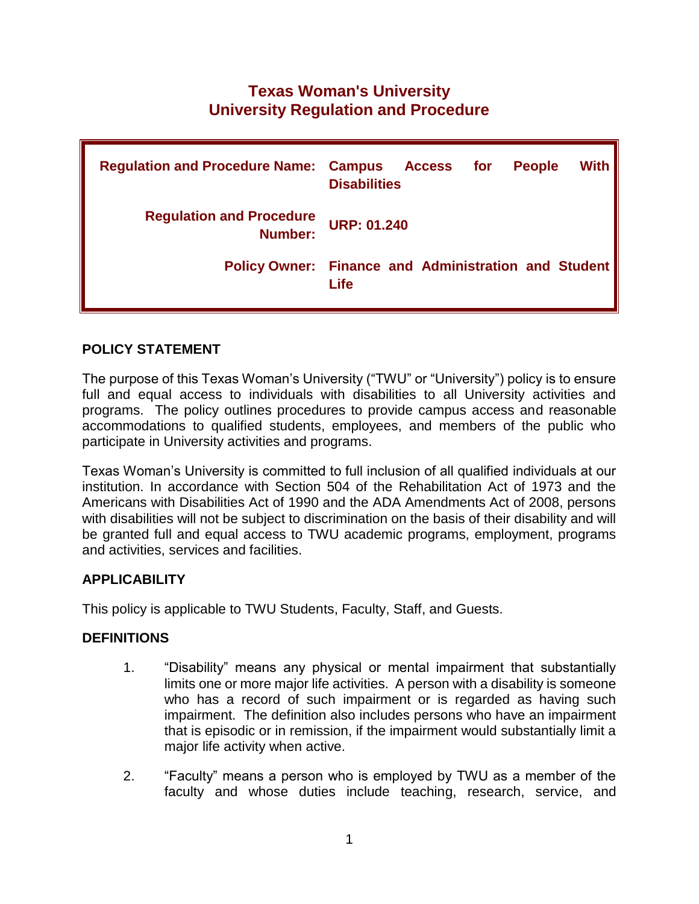# **Texas Woman's University University Regulation and Procedure**

| <b>Regulation and Procedure Name: Campus Access</b> | <b>With</b><br><b>People</b><br>for<br><b>Disabilities</b>          |
|-----------------------------------------------------|---------------------------------------------------------------------|
| <b>Regulation and Procedure</b><br>Number:          | <b>URP: 01.240</b>                                                  |
|                                                     | <b>Policy Owner: Finance and Administration and Student</b><br>Life |

## **POLICY STATEMENT**

The purpose of this Texas Woman's University ("TWU" or "University") policy is to ensure full and equal access to individuals with disabilities to all University activities and programs. The policy outlines procedures to provide campus access and reasonable accommodations to qualified students, employees, and members of the public who participate in University activities and programs.

Texas Woman's University is committed to full inclusion of all qualified individuals at our institution. In accordance with Section 504 of the Rehabilitation Act of 1973 and the Americans with Disabilities Act of 1990 and the ADA Amendments Act of 2008, persons with disabilities will not be subject to discrimination on the basis of their disability and will be granted full and equal access to TWU academic programs, employment, programs and activities, services and facilities.

# **APPLICABILITY**

This policy is applicable to TWU Students, Faculty, Staff, and Guests.

#### **DEFINITIONS**

- 1. "Disability" means any physical or mental impairment that substantially limits one or more major life activities. A person with a disability is someone who has a record of such impairment or is regarded as having such impairment. The definition also includes persons who have an impairment that is episodic or in remission, if the impairment would substantially limit a major life activity when active.
- 2. "Faculty" means a person who is employed by TWU as a member of the faculty and whose duties include teaching, research, service, and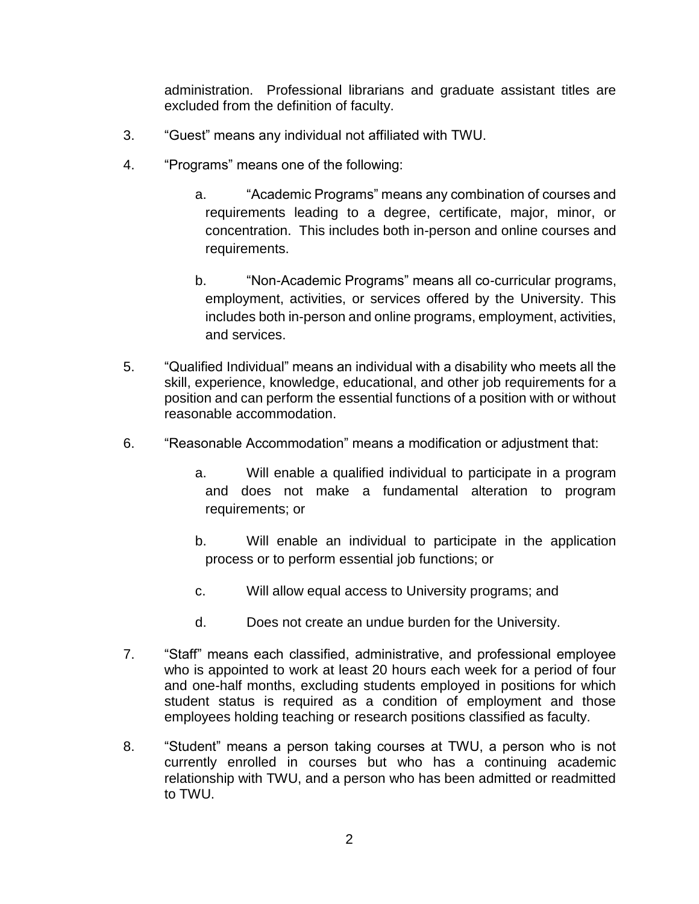administration. Professional librarians and graduate assistant titles are excluded from the definition of faculty.

- 3. "Guest" means any individual not affiliated with TWU.
- 4. "Programs" means one of the following:
	- a. "Academic Programs" means any combination of courses and requirements leading to a degree, certificate, major, minor, or concentration. This includes both in-person and online courses and requirements.
	- b. "Non-Academic Programs" means all co-curricular programs, employment, activities, or services offered by the University. This includes both in-person and online programs, employment, activities, and services.
- 5. "Qualified Individual" means an individual with a disability who meets all the skill, experience, knowledge, educational, and other job requirements for a position and can perform the essential functions of a position with or without reasonable accommodation.
- 6. "Reasonable Accommodation" means a modification or adjustment that:
	- a. Will enable a qualified individual to participate in a program and does not make a fundamental alteration to program requirements; or
	- b. Will enable an individual to participate in the application process or to perform essential job functions; or
	- c. Will allow equal access to University programs; and
	- d. Does not create an undue burden for the University.
- 7. "Staff" means each classified, administrative, and professional employee who is appointed to work at least 20 hours each week for a period of four and one-half months, excluding students employed in positions for which student status is required as a condition of employment and those employees holding teaching or research positions classified as faculty.
- 8. "Student" means a person taking courses at TWU, a person who is not currently enrolled in courses but who has a continuing academic relationship with TWU, and a person who has been admitted or readmitted to TWU.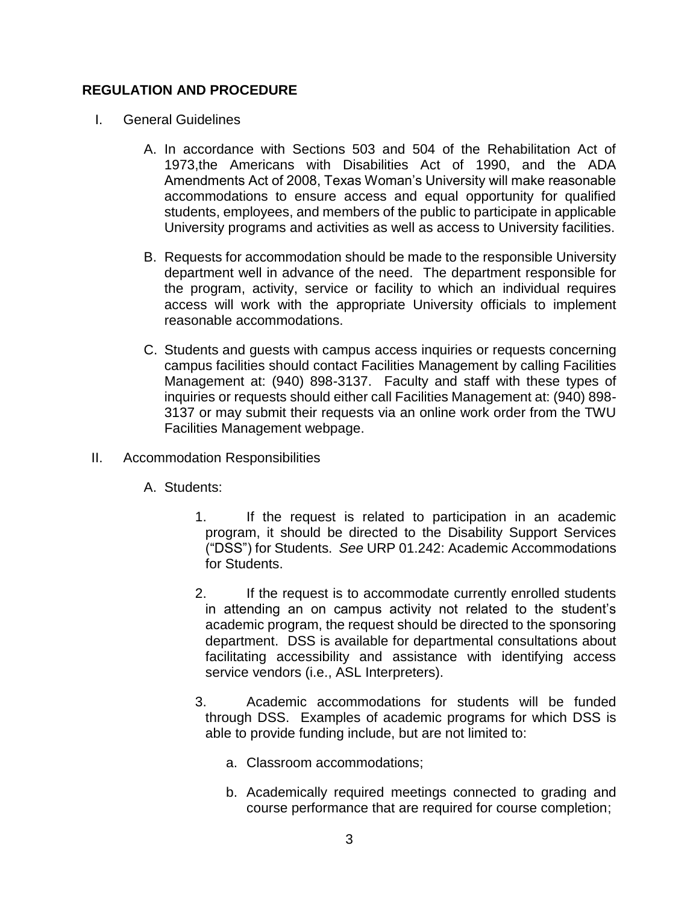#### **REGULATION AND PROCEDURE**

- I. General Guidelines
	- A. In accordance with Sections 503 and 504 of the Rehabilitation Act of 1973,the Americans with Disabilities Act of 1990, and the ADA Amendments Act of 2008, Texas Woman's University will make reasonable accommodations to ensure access and equal opportunity for qualified students, employees, and members of the public to participate in applicable University programs and activities as well as access to University facilities.
	- B. Requests for accommodation should be made to the responsible University department well in advance of the need. The department responsible for the program, activity, service or facility to which an individual requires access will work with the appropriate University officials to implement reasonable accommodations.
	- C. Students and guests with campus access inquiries or requests concerning campus facilities should contact Facilities Management by calling Facilities Management at: (940) 898-3137. Faculty and staff with these types of inquiries or requests should either call Facilities Management at: (940) 898- 3137 or may submit their requests via an online work order from the TWU Facilities Management webpage.
- II. Accommodation Responsibilities
	- A. Students:
		- 1. If the request is related to participation in an academic program, it should be directed to the Disability Support Services ("DSS") for Students. *See* URP 01.242: Academic Accommodations for Students.
		- 2. If the request is to accommodate currently enrolled students in attending an on campus activity not related to the student's academic program, the request should be directed to the sponsoring department. DSS is available for departmental consultations about facilitating accessibility and assistance with identifying access service vendors (i.e., ASL Interpreters).
		- 3. Academic accommodations for students will be funded through DSS. Examples of academic programs for which DSS is able to provide funding include, but are not limited to:
			- a. Classroom accommodations;
			- b. Academically required meetings connected to grading and course performance that are required for course completion;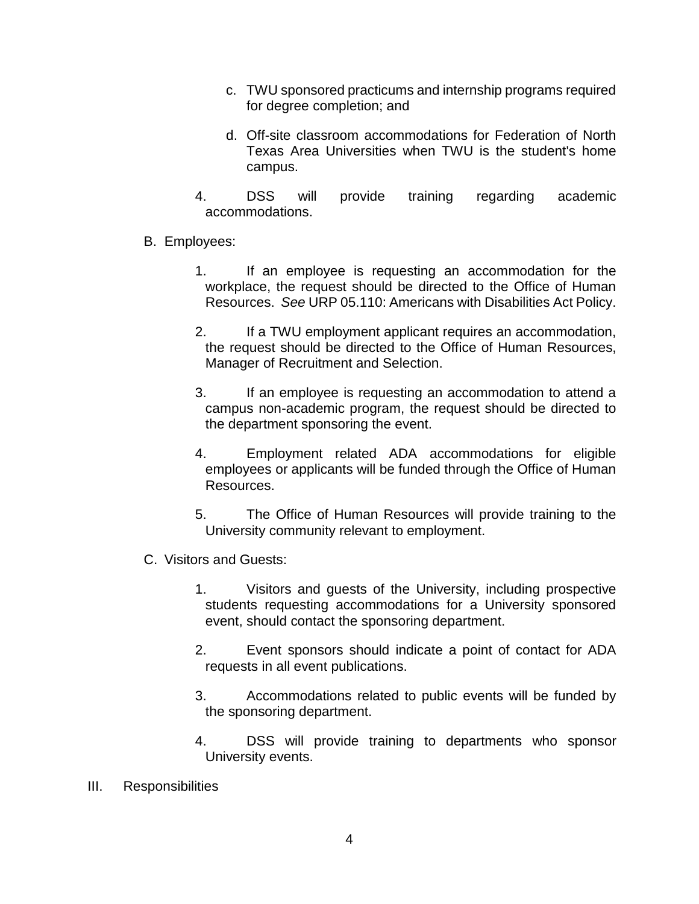- c. TWU sponsored practicums and internship programs required for degree completion; and
- d. Off-site classroom accommodations for Federation of North Texas Area Universities when TWU is the student's home campus.
- 4. DSS will provide training regarding academic accommodations.
- B. Employees:
	- 1. If an employee is requesting an accommodation for the workplace, the request should be directed to the Office of Human Resources. *See* URP 05.110: Americans with Disabilities Act Policy.
	- 2. If a TWU employment applicant requires an accommodation, the request should be directed to the Office of Human Resources, Manager of Recruitment and Selection.
	- 3. If an employee is requesting an accommodation to attend a campus non-academic program, the request should be directed to the department sponsoring the event.
	- 4. Employment related ADA accommodations for eligible employees or applicants will be funded through the Office of Human Resources.
	- 5. The Office of Human Resources will provide training to the University community relevant to employment.
- C. Visitors and Guests:
	- 1. Visitors and guests of the University, including prospective students requesting accommodations for a University sponsored event, should contact the sponsoring department.
	- 2. Event sponsors should indicate a point of contact for ADA requests in all event publications.
	- 3. Accommodations related to public events will be funded by the sponsoring department.
	- 4. DSS will provide training to departments who sponsor University events.
- III. Responsibilities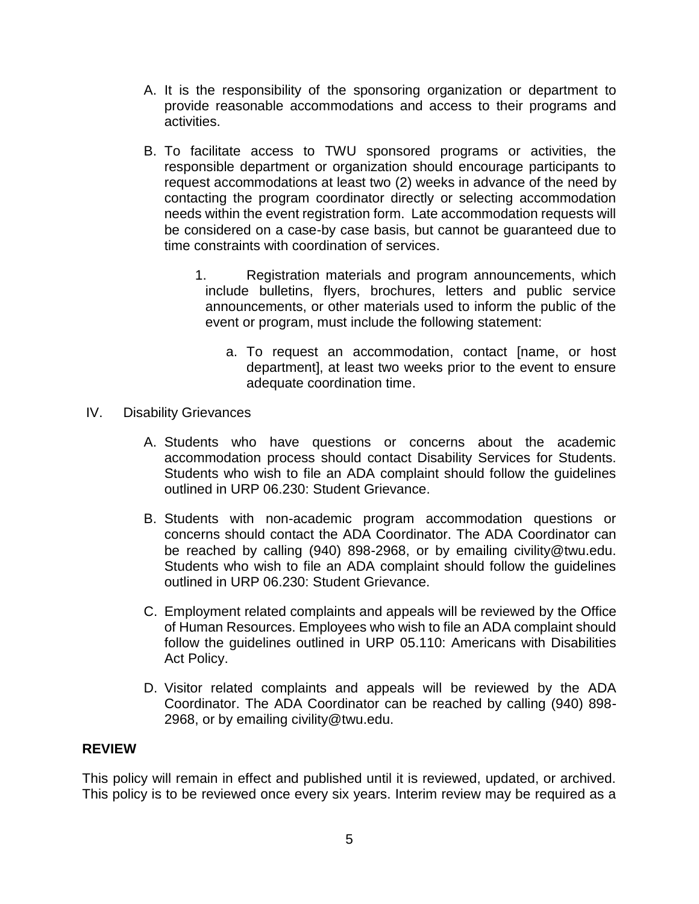- A. It is the responsibility of the sponsoring organization or department to provide reasonable accommodations and access to their programs and activities.
- B. To facilitate access to TWU sponsored programs or activities, the responsible department or organization should encourage participants to request accommodations at least two (2) weeks in advance of the need by contacting the program coordinator directly or selecting accommodation needs within the event registration form. Late accommodation requests will be considered on a case-by case basis, but cannot be guaranteed due to time constraints with coordination of services.
	- 1. Registration materials and program announcements, which include bulletins, flyers, brochures, letters and public service announcements, or other materials used to inform the public of the event or program, must include the following statement:
		- a. To request an accommodation, contact [name, or host department], at least two weeks prior to the event to ensure adequate coordination time.
- IV. Disability Grievances
	- A. Students who have questions or concerns about the academic accommodation process should contact Disability Services for Students. Students who wish to file an ADA complaint should follow the guidelines outlined in URP 06.230: Student Grievance.
	- B. Students with non-academic program accommodation questions or concerns should contact the ADA Coordinator. The ADA Coordinator can be reached by calling (940) 898-2968, or by emailing civility@twu.edu. Students who wish to file an ADA complaint should follow the guidelines outlined in URP 06.230: Student Grievance.
	- C. Employment related complaints and appeals will be reviewed by the Office of Human Resources. Employees who wish to file an ADA complaint should follow the guidelines outlined in URP 05.110: Americans with Disabilities Act Policy.
	- D. Visitor related complaints and appeals will be reviewed by the ADA Coordinator. The ADA Coordinator can be reached by calling (940) 898- 2968, or by emailing civility@twu.edu.

# **REVIEW**

This policy will remain in effect and published until it is reviewed, updated, or archived. This policy is to be reviewed once every six years. Interim review may be required as a